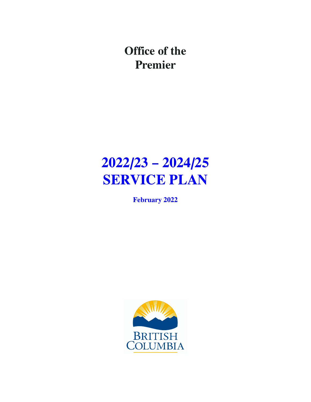**Office of the Premier**

# **2022/23 – 2024/25 SERVICE PLAN**

**February 2022**

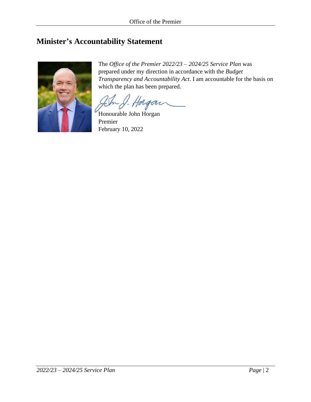# <span id="page-1-0"></span>**Minister's Accountability Statement**



The *Office of the Premier 2022/23 – 2024/25 Service Plan* was prepared under my direction in accordance with the *Budget Transparency and Accountability Act*. I am accountable for the basis on which the plan has been prepared.

Honourable John Horgan

Premier February 10, 2022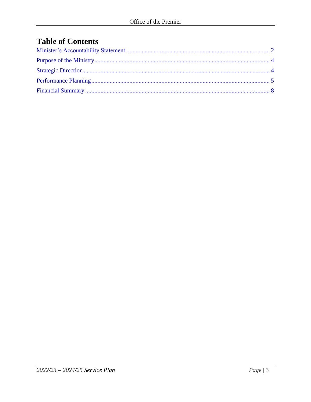# **Table of Contents**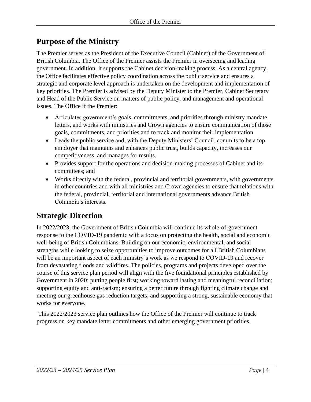# <span id="page-3-0"></span>**Purpose of the Ministry**

The Premier serves as the President of the Executive Council (Cabinet) of the Government of British Columbia. The Office of the Premier assists the Premier in overseeing and leading government. In addition, it supports the Cabinet decision-making process. As a central agency, the Office facilitates effective policy coordination across the public service and ensures a strategic and corporate level approach is undertaken on the development and implementation of key priorities. The Premier is advised by the Deputy Minister to the Premier, Cabinet Secretary and Head of the Public Service on matters of public policy, and management and operational issues. The Office if the Premier:

- Articulates government's goals, commitments, and priorities through ministry mandate letters, and works with ministries and Crown agencies to ensure communication of those goals, commitments, and priorities and to track and monitor their implementation.
- Leads the public service and, with the Deputy Ministers' Council, commits to be a top employer that maintains and enhances public trust, builds capacity, increases our competitiveness, and manages for results.
- Provides support for the operations and decision-making processes of Cabinet and its committees; and
- Works directly with the federal, provincial and territorial governments, with governments in other countries and with all ministries and Crown agencies to ensure that relations with the federal, provincial, territorial and international governments advance British Columbia's interests.

# <span id="page-3-1"></span>**Strategic Direction**

In 2022/2023, the Government of British Columbia will continue its whole-of-government response to the COVID-19 pandemic with a focus on protecting the health, social and economic well-being of British Columbians. Building on our economic, environmental, and social strengths while looking to seize opportunities to improve outcomes for all British Columbians will be an important aspect of each ministry's work as we respond to COVID-19 and recover from devastating floods and wildfires. The policies, programs and projects developed over the course of this service plan period will align with the five foundational principles established by Government in 2020: putting people first; working toward lasting and meaningful reconciliation; supporting equity and anti-racism; ensuring a better future through fighting climate change and meeting our greenhouse gas reduction targets; and supporting a strong, sustainable economy that works for everyone.

This 2022/2023 service plan outlines how the Office of the Premier will continue to track progress on key mandate letter commitments and other emerging government priorities.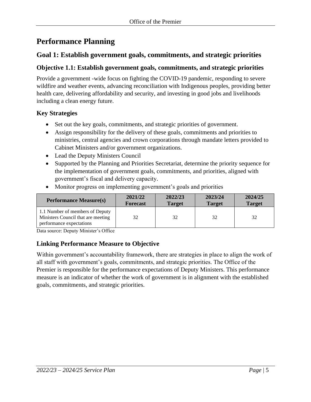# <span id="page-4-0"></span>**Performance Planning**

# **Goal 1: Establish government goals, commitments, and strategic priorities**

## **Objective 1.1: Establish government goals, commitments, and strategic priorities**

Provide a government -wide focus on fighting the COVID-19 pandemic, responding to severe wildfire and weather events, advancing reconciliation with Indigenous peoples, providing better health care, delivering affordability and security, and investing in good jobs and livelihoods including a clean energy future.

## **Key Strategies**

- Set out the key goals, commitments, and strategic priorities of government.
- Assign responsibility for the delivery of these goals, commitments and priorities to ministries, central agencies and crown corporations through mandate letters provided to Cabinet Ministers and/or government organizations.
- Lead the Deputy Ministers Council
- Supported by the Planning and Priorities Secretariat, determine the priority sequence for the implementation of government goals, commitments, and priorities, aligned with government's fiscal and delivery capacity.

| <b>Performance Measure(s)</b>                                                                     | 2021/22         | 2022/23       | 2023/24       | 2024/25       |
|---------------------------------------------------------------------------------------------------|-----------------|---------------|---------------|---------------|
|                                                                                                   | <b>Forecast</b> | <b>Target</b> | <b>Target</b> | <b>Target</b> |
| 1.1 Number of members of Deputy<br>Ministers Council that are meeting<br>performance expectations | 32              | 32            | 32            | 32            |

• Monitor progress on implementing government's goals and priorities

Data source: Deputy Minister's Office

## **Linking Performance Measure to Objective**

Within government's accountability framework, there are strategies in place to align the work of all staff with government's goals, commitments, and strategic priorities. The Office of the Premier is responsible for the performance expectations of Deputy Ministers. This performance measure is an indicator of whether the work of government is in alignment with the established goals, commitments, and strategic priorities.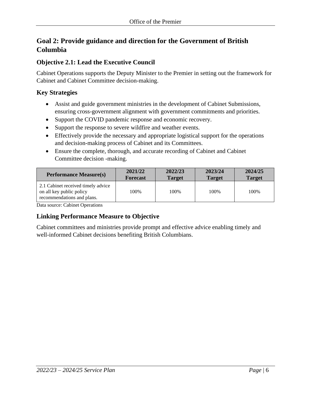# **Goal 2: Provide guidance and direction for the Government of British Columbia**

## **Objective 2.1: Lead the Executive Council**

Cabinet Operations supports the Deputy Minister to the Premier in setting out the framework for Cabinet and Cabinet Committee decision-making.

## **Key Strategies**

- Assist and guide government ministries in the development of Cabinet Submissions, ensuring cross-government alignment with government commitments and priorities.
- Support the COVID pandemic response and economic recovery.
- Support the response to severe wildfire and weather events.
- Effectively provide the necessary and appropriate logistical support for the operations and decision-making process of Cabinet and its Committees.
- Ensure the complete, thorough, and accurate recording of Cabinet and Cabinet Committee decision -making.

| <b>Performance Measure(s)</b>                                                                | 2021/22         | 2022/23       | 2023/24       | 2024/25       |
|----------------------------------------------------------------------------------------------|-----------------|---------------|---------------|---------------|
|                                                                                              | <b>Forecast</b> | <b>Target</b> | <b>Target</b> | <b>Target</b> |
| 2.1 Cabinet received timely advice<br>on all key public policy<br>recommendations and plans. | 100%            | 100%          | 100%          | 100%          |

Data source: Cabinet Operations

# **Linking Performance Measure to Objective**

Cabinet committees and ministries provide prompt and effective advice enabling timely and well-informed Cabinet decisions benefiting British Columbians.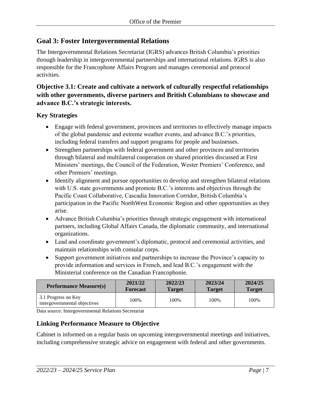## **Goal 3: Foster Intergovernmental Relations**

The Intergovernmental Relations Secretariat (IGRS) advances British Columbia's priorities through leadership in intergovernmental partnerships and international relations. IGRS is also responsible for the Francophone Affairs Program and manages ceremonial and protocol activities.

## **Objective 3.1: Create and cultivate a network of culturally respectful relationships with other governments, diverse partners and British Columbians to showcase and advance B.C.'s strategic interests.**

#### **Key Strategies**

- Engage with federal government, provinces and territories to effectively manage impacts of the global pandemic and extreme weather events, and advance B.C.'s priorities, including federal transfers and support programs for people and businesses.
- Strengthen partnerships with federal government and other provinces and territories through bilateral and multilateral cooperation on shared priorities discussed at First Ministers' meetings, the Council of the Federation, Wester Premiers' Conference, and other Premiers' meetings.
- Identify alignment and pursue opportunities to develop and strengthen bilateral relations with U.S. state governments and promote B.C.'s interests and objectives through the Pacific Coast Collaborative, Cascadia Innovation Corridor, British Columbia's participation in the Pacific NorthWest Economic Region and other opportunities as they arise.
- Advance British Columbia's priorities through strategic engagement with international partners, including Global Affairs Canada, the diplomatic community, and international organizations.
- Lead and coordinate government's diplomatic, protocol and ceremonial activities, and maintain relationships with consular corps.
- Support government initiatives and partnerships to increase the Province's capacity to provide information and services in French, and lead B.C.'s engagement with the Ministerial conference on the Canadian Francophonie.

| <b>Performance Measure(s)</b>                       | 2021/22         | 2022/23       | 2023/24       | 2024/25       |
|-----------------------------------------------------|-----------------|---------------|---------------|---------------|
|                                                     | <b>Forecast</b> | <b>Target</b> | <b>Target</b> | <b>Target</b> |
| 3.1 Progress on Key<br>intergovernmental objectives | 100%            | 100%          | 100%          | 100%          |

Data source: Intergovernmental Relations Secretariat

## **Linking Performance Measure to Objective**

Cabinet is informed on a regular basis on upcoming intergovernmental meetings and initiatives, including comprehensive strategic advice on engagement with federal and other governments.